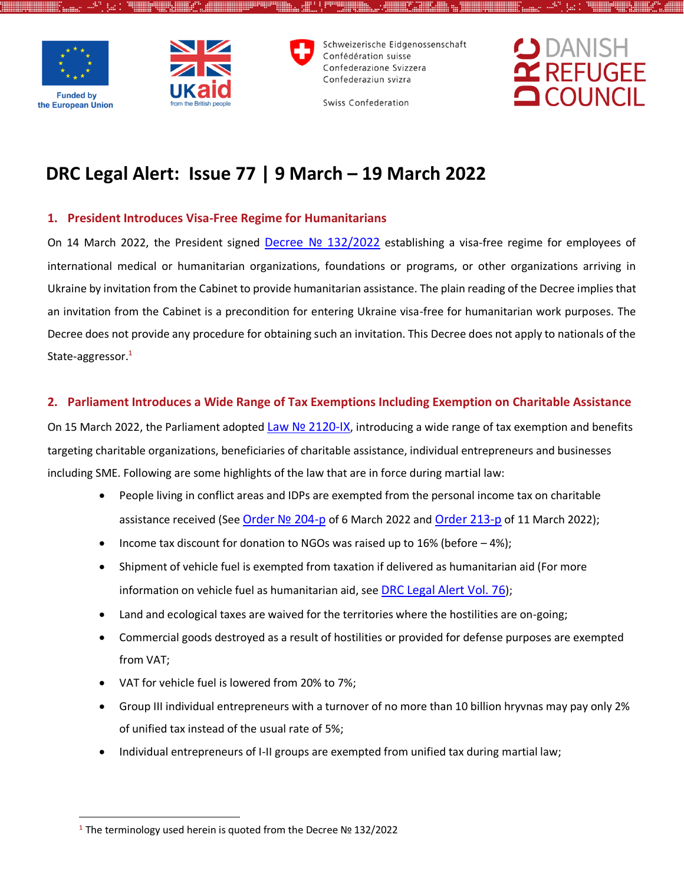

 $\overline{a}$ 



Schweizerische Eidgenossenschaft Confédération suisse Confederazione Svizzera Confederaziun svizra

Swiss Confederation

## **DRC Legal Alert: Issue 77 | 9 March – 19 March 2022**

#### **1. President Introduces Visa-Free Regime for Humanitarians**

On 14 March 2022, the President signed Decree Nº [132/2022](https://www.president.gov.ua/documents/1322022-41689) establishing a visa-free regime for employees of international medical or humanitarian organizations, foundations or programs, or other organizations arriving in Ukraine by invitation from the Cabinet to provide humanitarian assistance. The plain reading of the Decree implies that an invitation from the Cabinet is a precondition for entering Ukraine visa-free for humanitarian work purposes. The Decree does not provide any procedure for obtaining such an invitation. This Decree does not apply to nationals of the State-aggressor.**<sup>1</sup>**

#### **2. Parliament Introduces a Wide Range of Tax Exemptions Including Exemption on Charitable Assistance**

On 15 March 2022, the Parliament adopted Law Nº [2120-IX](https://itd.rada.gov.ua/billInfo/Bills/Card/39235), introducing a wide range of tax exemption and benefits targeting charitable organizations, beneficiaries of charitable assistance, individual entrepreneurs and businesses including SME. Following are some highlights of the law that are in force during martial law:

- People living in conflict areas and IDPs are exempted from the personal income tax on charitable assistance received (See Order [№ 204](https://www.kmu.gov.ua/npas/pro-zatverdzhennya-pereliku-administrativno-teritorialnih-odinic-na-teritoriyi-yakih-nadayetsya-dopomoga-zastrahovanim-osobam-v-ramkah-programi-yepidtrimka-204-)-p of 6 March 2022 and [Order 213-](https://www.kmu.gov.ua/npas/pro-vnesennya-zmini-u-dodatok-do-rozporyadzhennya-kabinetu-ministriv-ukrayini-vid-6-bereznya-2022-r-204-213-)p of 11 March 2022);
- Income tax discount for donation to NGOs was raised up to 16% (before  $-4\%$ );
- Shipment of vehicle fuel is exempted from taxation if delivered as humanitarian aid (For more information on vehicle fuel as humanitarian aid, see [DRC Legal Alert Vol. 76](https://reliefweb.int/sites/reliefweb.int/files/resources/drc_legal_alert_29feb-9march_eng.pdf));
- Land and ecological taxes are waived for the territories where the hostilities are on-going;
- Commercial goods destroyed as a result of hostilities or provided for defense purposes are exempted from VAT;
- VAT for vehicle fuel is lowered from 20% to 7%;
- Group III individual entrepreneurs with a turnover of no more than 10 billion hryvnas may pay only 2% of unified tax instead of the usual rate of 5%;
- Individual entrepreneurs of I-II groups are exempted from unified tax during martial law;

**<sup>1</sup>** The terminology used herein is quoted from the Decree № 132/2022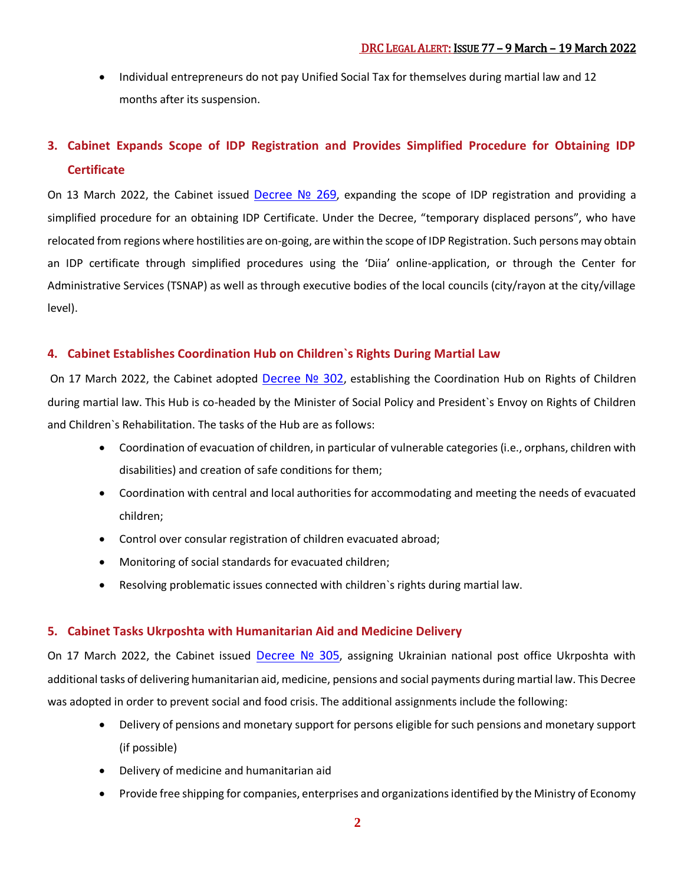• Individual entrepreneurs do not pay Unified Social Tax for themselves during martial law and 12 months after its suspension.

## **3. Cabinet Expands Scope of IDP Registration and Provides Simplified Procedure for Obtaining IDP Certificate**

On 13 March 2022, the Cabinet issued [Decree](https://www.kmu.gov.ua/npas/pro-vnesennya-zmin-do-poryadku-oformlennya-i-vidachi-dovidki-pro-vzyattya-na-oblik-vnutrishno-peremishchenoyi-osobi-269) Nº 269, expanding the scope of IDP registration and providing a simplified procedure for an obtaining IDP Certificate. Under the Decree, "temporary displaced persons", who have relocated from regions where hostilities are on-going, are within the scope of IDP Registration. Such persons may obtain an IDP certificate through simplified procedures using the 'Diia' online-application, or through the Center for Administrative Services (TSNAP) as well as through executive bodies of the local councils (city/rayon at the city/village level).

#### **4. Cabinet Establishes Coordination Hub on Children`s Rights During Martial Law**

On 17 March 2022, the Cabinet adopted [Decree](https://www.kmu.gov.ua/npas/pro-utvorennya-koordinacijnogo-shtabu-z-pitan-zahistu-prav-ditini-v-umovah-voyennogo-stanu-302) Nº 302, establishing the Coordination Hub on Rights of Children during martial law. This Hub is co-headed by the Minister of Social Policy and President`s Envoy on Rights of Children and Children`s Rehabilitation. The tasks of the Hub are as follows:

- Coordination of evacuation of children, in particular of vulnerable categories (i.e., orphans, children with disabilities) and creation of safe conditions for them;
- Coordination with central and local authorities for accommodating and meeting the needs of evacuated children;
- Control over consular registration of children evacuated abroad;
- Monitoring of social standards for evacuated children;
- Resolving problematic issues connected with children`s rights during martial law.

#### **5. Cabinet Tasks Ukrposhta with Humanitarian Aid and Medicine Delivery**

On 17 March 2022, the Cabinet issued [Decree](https://www.kmu.gov.ua/npas/pro-osoblivosti-roboti-akcionernogo-tovaristva-ukrposhta-v-umovah-voyennogo-stanu-305) Nº 305, assigning Ukrainian national post office Ukrposhta with additional tasks of delivering humanitarian aid, medicine, pensions and social payments during martial law. This Decree was adopted in order to prevent social and food crisis. The additional assignments include the following:

- Delivery of pensions and monetary support for persons eligible for such pensions and monetary support (if possible)
- Delivery of medicine and humanitarian aid
- Provide free shipping for companies, enterprises and organizations identified by the Ministry of Economy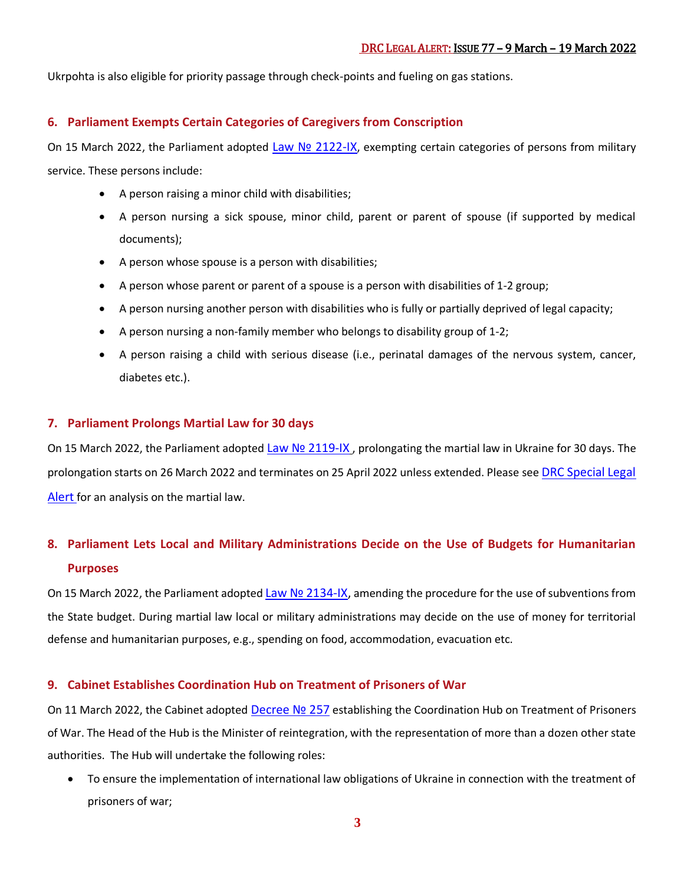Ukrpohta is also eligible for priority passage through check-points and fueling on gas stations.

#### **6. Parliament Exempts Certain Categories of Caregivers from Conscription**

On 15 March 2022, the Parliament adopted Law Nº [2122-IX](https://itd.rada.gov.ua/billInfo/Bills/Card/39234), exempting certain categories of persons from military service. These persons include:

- A person raising a minor child with disabilities;
- A person nursing a sick spouse, minor child, parent or parent of spouse (if supported by medical documents);
- A person whose spouse is a person with disabilities;
- A person whose parent or parent of a spouse is a person with disabilities of 1-2 group;
- A person nursing another person with disabilities who is fully or partially deprived of legal capacity;
- A person nursing a non-family member who belongs to disability group of 1-2;
- A person raising a child with serious disease (i.e., perinatal damages of the nervous system, cancer, diabetes etc.).

#### **7. Parliament Prolongs Martial Law for 30 days**

On 15 March 2022, the Parliament adopted Law Nº [2119-IX](https://itd.rada.gov.ua/billInfo/Bills/Card/39236), prolongating the martial law in Ukraine for 30 days. The prolongation starts on 26 March 2022 and terminates on 25 April 2022 unless extended. Please see [DRC Special Legal](https://www.humanitarianresponse.info/en/operations/ukraine/document/drc-special-legal-alert-russian-invasion-february-2022-drc-c%D0%BF%D0%B5%D1%86%D1%96%D0%B0%D0%BB%D1%8C%D0%BD%D0%B8%D0%B9)  [Alert](https://www.humanitarianresponse.info/en/operations/ukraine/document/drc-special-legal-alert-russian-invasion-february-2022-drc-c%D0%BF%D0%B5%D1%86%D1%96%D0%B0%D0%BB%D1%8C%D0%BD%D0%B8%D0%B9) for an analysis on the martial law.

## **8. Parliament Lets Local and Military Administrations Decide on the Use of Budgets for Humanitarian Purposes**

On 15 March 2022, the Parliament adopted Law Nº [2134-IX,](https://itd.rada.gov.ua/billInfo/Bills/Card/39231) amending the procedure for the use of subventions from the State budget. During martial law local or military administrations may decide on the use of money for territorial defense and humanitarian purposes, e.g., spending on food, accommodation, evacuation etc.

#### **9. Cabinet Establishes Coordination Hub on Treatment of Prisoners of War**

On 11 March 2022, the Cabinet adopted [Decree](https://www.kmu.gov.ua/npas/pro-utvorennya-koordinacijnogo-shtabu-z-pitan-povodzhennya-z-vijskovopolonenimi-257) Nº 257 establishing the Coordination Hub on Treatment of Prisoners of War. The Head of the Hub is the Minister of reintegration, with the representation of more than a dozen other state authorities. The Hub will undertake the following roles:

 To ensure the implementation of international law obligations of Ukraine in connection with the treatment of prisoners of war;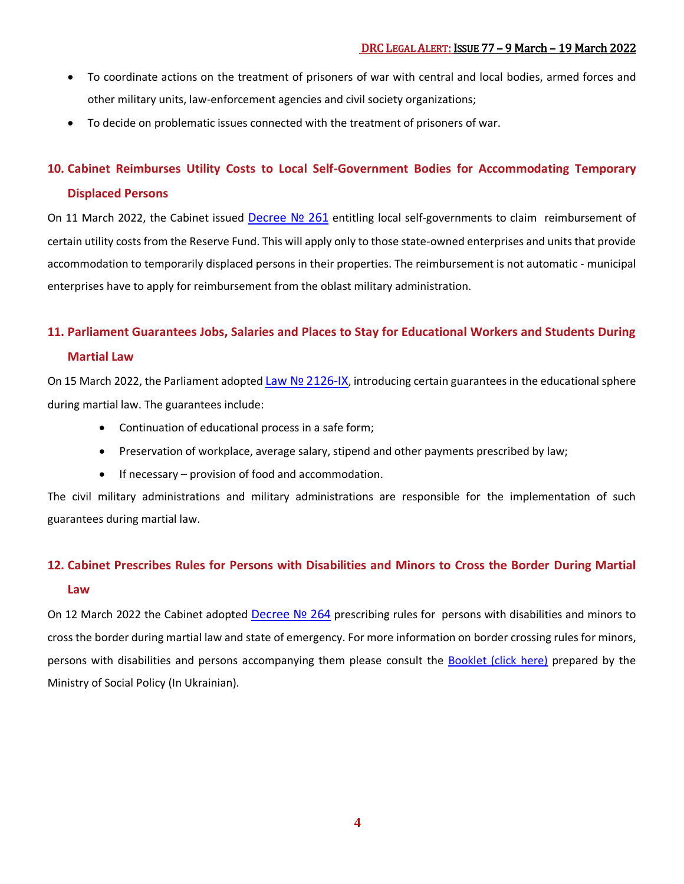- To coordinate actions on the treatment of prisoners of war with central and local bodies, armed forces and other military units, law-enforcement agencies and civil society organizations;
- To decide on problematic issues connected with the treatment of prisoners of war.

#### **10. Cabinet Reimburses Utility Costs to Local Self-Government Bodies for Accommodating Temporary**

#### **Displaced Persons**

On 11 March 2022, the Cabinet issued [Decree](https://www.kmu.gov.ua/npas/pro-zatverdzhennya-poryadku-ta-umov-nadannya-kompensaciyi-miscevim-byudzhetam-na-oplatu-komunalnih-poslug-shcho-nadayutsya-pid-chas-rozm-261) Nº 261 entitling local self-governments to claim reimbursement of certain utility costs from the Reserve Fund. This will apply only to those state-owned enterprises and units that provide accommodation to temporarily displaced persons in their properties. The reimbursement is not automatic - municipal enterprises have to apply for reimbursement from the oblast military administration.

# **11. Parliament Guarantees Jobs, Salaries and Places to Stay for Educational Workers and Students During**

#### **Martial Law**

On 15 March 2022, the Parliament adopted Law Nº [2126-IX](https://itd.rada.gov.ua/billInfo/Bills/Card/39188), introducing certain guarantees in the educational sphere during martial law. The guarantees include:

- Continuation of educational process in a safe form;
- Preservation of workplace, average salary, stipend and other payments prescribed by law;
- $\bullet$  If necessary provision of food and accommodation.

The civil military administrations and military administrations are responsible for the implementation of such guarantees during martial law.

### **12. Cabinet Prescribes Rules for Persons with Disabilities and Minors to Cross the Border During Martial Law**

On 12 March 2022 the Cabinet adopted [Decree](https://www.kmu.gov.ua/npas/pro-vnesennya-zmin-do-pravil-peretinannya-derzhavnogo-kordonu-gromadyanami-ukrayini-264) Nº 264 prescribing rules for persons with disabilities and minors to cross the border during martial law and state of emergency. For more information on border crossing rules for minors, persons with disabilities and persons accompanying them please consult the **Booklet [\(click here\)](https://www.msp.gov.ua/files/pictures/2022/%D0%9F%D0%B0%D0%BC%D1%8F%D1%82%D0%BA%D0%B0%20-%201503.pdf)** prepared by the Ministry of Social Policy (In Ukrainian).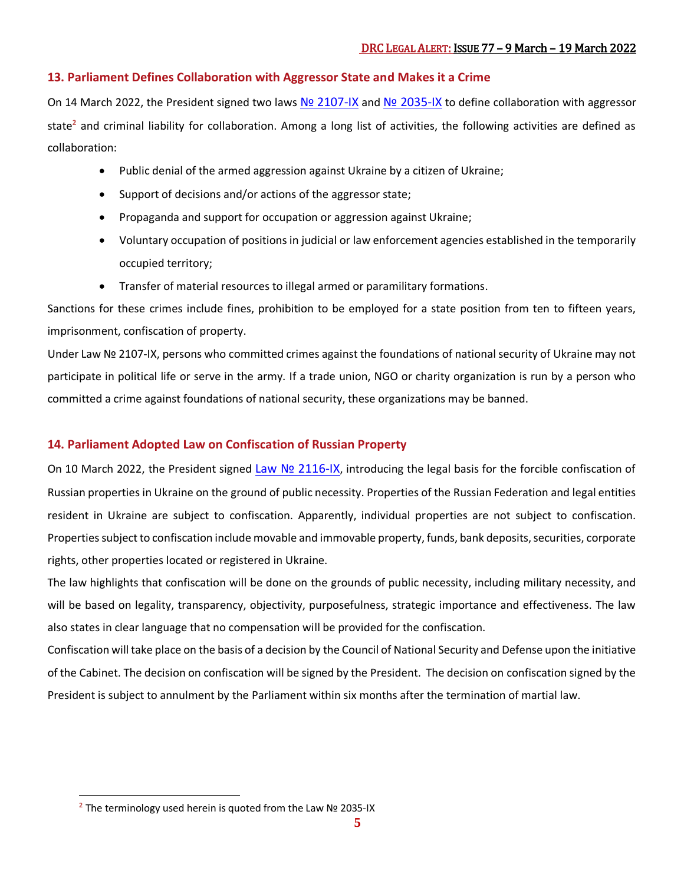#### **13. Parliament Defines Collaboration with Aggressor State and Makes it a Crime**

On 14 March 2022, the President signed two laws Nº [2107-IX](https://zakon.rada.gov.ua/laws/show/2107-IX#Text) and Nº 2035-IX to define collaboration with aggressor state**<sup>2</sup>** and criminal liability for collaboration. Among a long list of activities, the following activities are defined as collaboration:

- Public denial of the armed aggression against Ukraine by a citizen of Ukraine;
- Support of decisions and/or actions of the aggressor state;
- Propaganda and support for occupation or aggression against Ukraine;
- Voluntary occupation of positions in judicial or law enforcement agencies established in the temporarily occupied territory;
- Transfer of material resources to illegal armed or paramilitary formations.

Sanctions for these crimes include fines, prohibition to be employed for a state position from ten to fifteen years, imprisonment, confiscation of property.

Under Law № 2107-IX, persons who committed crimes against the foundations of national security of Ukraine may not participate in political life or serve in the army. If a trade union, NGO or charity organization is run by a person who committed a crime against foundations of national security, these organizations may be banned.

#### **14. Parliament Adopted Law on Confiscation of Russian Property**

On 10 March 2022, the President signed Law Nº [2116-IX](https://zakon.rada.gov.ua/laws/show/2116-IX#Text), introducing the legal basis for the forcible confiscation of Russian properties in Ukraine on the ground of public necessity. Properties of the Russian Federation and legal entities resident in Ukraine are subject to confiscation. Apparently, individual properties are not subject to confiscation. Properties subject to confiscation include movable and immovable property, funds, bank deposits, securities, corporate rights, other properties located or registered in Ukraine.

The law highlights that confiscation will be done on the grounds of public necessity, including military necessity, and will be based on legality, transparency, objectivity, purposefulness, strategic importance and effectiveness. The law also states in clear language that no compensation will be provided for the confiscation.

Confiscation will take place on the basis of a decision by the Council of National Security and Defense upon the initiative of the Cabinet. The decision on confiscation will be signed by the President. The decision on confiscation signed by the President is subject to annulment by the Parliament within six months after the termination of martial law.

 $\overline{a}$ 

**<sup>2</sup>** The terminology used herein is quoted from the Law № 2035-IX